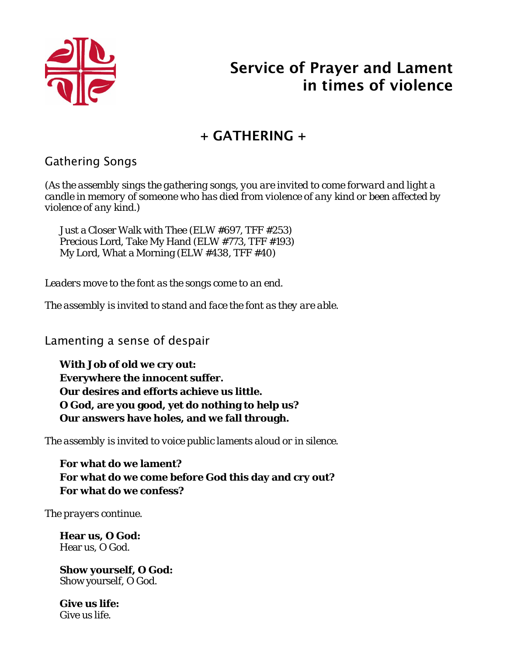

# Service of Prayer and Lament in times of violence

# + GATHERING +

## Gathering Songs

*(As the assembly sings the gathering songs, you are invited to come forward and light a candle in memory of someone who has died from violence of any kind or been affected by violence of any kind.)*

Just a Closer Walk with Thee (ELW #697, TFF #253) Precious Lord, Take My Hand (ELW #773, TFF #193) My Lord, What a Morning (ELW #438, TFF #40)

*Leaders move to the font as the songs come to an end.*

*The assembly is invited to stand and face the font as they are able.*

Lamenting a sense of despair

**With Job of old we cry out: Everywhere the innocent suffer. Our desires and efforts achieve us little. O God, are you good, yet do nothing to help us? Our answers have holes, and we fall through.**

*The assembly is invited to voice public laments aloud or in silence.*

**For what do we lament? For what do we come before God this day and cry out? For what do we confess?** 

*The prayers continue.*

**Hear us, O God:** Hear us, O God.

**Show yourself, O God:** Show yourself, O God.

**Give us life:** Give us life.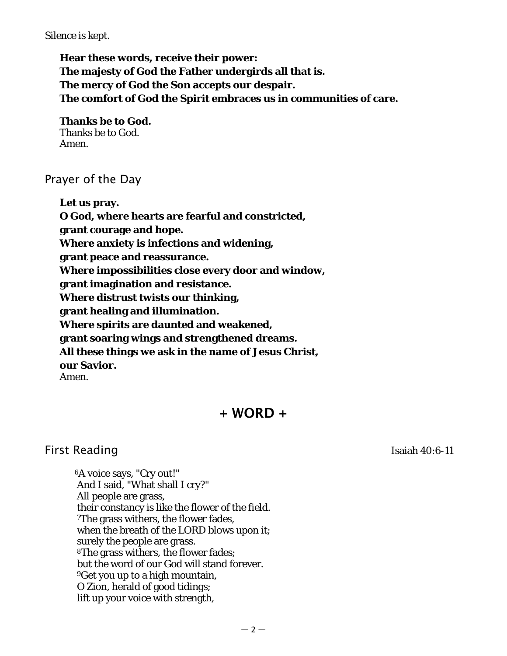#### *Silence is kept.*

**Hear these words, receive their power: The majesty of God the Father undergirds all that is. The mercy of God the Son accepts our despair. The comfort of God the Spirit embraces us in communities of care.**

**Thanks be to God.**  Thanks be to God. Amen.

### Prayer of the Day

**Let us pray.**

**O God, where hearts are fearful and constricted,** 

**grant courage and hope.** 

**Where anxiety is infections and widening,** 

**grant peace and reassurance.** 

**Where impossibilities close every door and window,** 

**grant imagination and resistance.**

**Where distrust twists our thinking,** 

**grant healing and illumination.**

**Where spirits are daunted and weakened,** 

**grant soaring wings and strengthened dreams.** 

**All these things we ask in the name of Jesus Christ,** 

**our Savior.**

Amen.

## $+$  WORD  $+$

## First Reading Isaiah 40:6-11

6A voice says, "Cry out!" And I said, "What shall I cry?" All people are grass, their constancy is like the flower of the field. 7The grass withers, the flower fades, when the breath of the LORD blows upon it; surely the people are grass. 8The grass withers, the flower fades; but the word of our God will stand forever. 9Get you up to a high mountain, O Zion, herald of good tidings; lift up your voice with strength,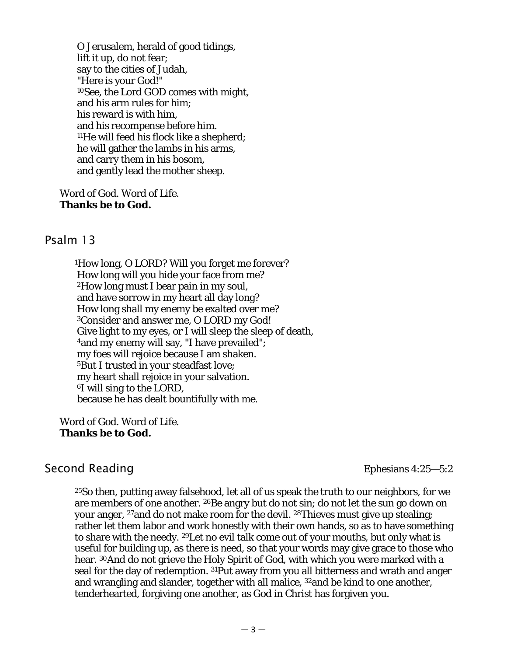O Jerusalem, herald of good tidings, lift it up, do not fear; say to the cities of Judah, "Here is your God!" 10See, the Lord GOD comes with might, and his arm rules for him; his reward is with him, and his recompense before him. 11He will feed his flock like a shepherd; he will gather the lambs in his arms, and carry them in his bosom, and gently lead the mother sheep.

Word of God. Word of Life. **Thanks be to God.**

#### Psalm 13

1How long, O LORD? Will you forget me forever? How long will you hide your face from me? 2How long must I bear pain in my soul, and have sorrow in my heart all day long? How long shall my enemy be exalted over me? 3Consider and answer me, O LORD my God! Give light to my eyes, or I will sleep the sleep of death, 4and my enemy will say, "I have prevailed"; my foes will rejoice because I am shaken. 5But I trusted in your steadfast love; my heart shall rejoice in your salvation. 6I will sing to the LORD, because he has dealt bountifully with me.

Word of God. Word of Life. **Thanks be to God.**

## Second Reading Ephesians 4:25–5:2

25So then, putting away falsehood, let all of us speak the truth to our neighbors, for we are members of one another. 26Be angry but do not sin; do not let the sun go down on your anger, 27and do not make room for the devil. 28Thieves must give up stealing; rather let them labor and work honestly with their own hands, so as to have something to share with the needy. 29Let no evil talk come out of your mouths, but only what is useful for building up, as there is need, so that your words may give grace to those who hear. 30And do not grieve the Holy Spirit of God, with which you were marked with a seal for the day of redemption. 31Put away from you all bitterness and wrath and anger and wrangling and slander, together with all malice, 32and be kind to one another, tenderhearted, forgiving one another, as God in Christ has forgiven you.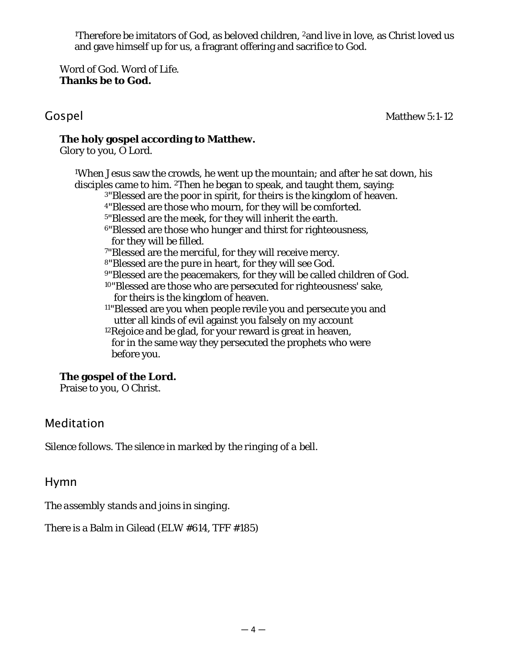<sup>1</sup>Therefore be imitators of God, as beloved children, <sup>2</sup>and live in love, as Christ loved us and gave himself up for us, a fragrant offering and sacrifice to God.

Word of God. Word of Life. **Thanks be to God.**

Gospel Matthew 5:1-12

#### **The holy gospel according to Matthew.**

Glory to you, O Lord.

1When Jesus saw the crowds, he went up the mountain; and after he sat down, his disciples came to him. 2Then he began to speak, and taught them, saying:

- 3"Blessed are the poor in spirit, for theirs is the kingdom of heaven.
- 4"Blessed are those who mourn, for they will be comforted.
- 5"Blessed are the meek, for they will inherit the earth.
- 6"Blessed are those who hunger and thirst for righteousness, for they will be filled.
- 7"Blessed are the merciful, for they will receive mercy.
- 8"Blessed are the pure in heart, for they will see God.
- 9"Blessed are the peacemakers, for they will be called children of God.
- 10"Blessed are those who are persecuted for righteousness' sake, for theirs is the kingdom of heaven.
- 11"Blessed are you when people revile you and persecute you and utter all kinds of evil against you falsely on my account
- 12Rejoice and be glad, for your reward is great in heaven, for in the same way they persecuted the prophets who were before you.

### **The gospel of the Lord.**

Praise to you, O Christ.

## Meditation

*Silence follows. The silence in marked by the ringing of a bell.*

Hymn

*The assembly stands and joins in singing.*

There is a Balm in Gilead (ELW #614, TFF #185)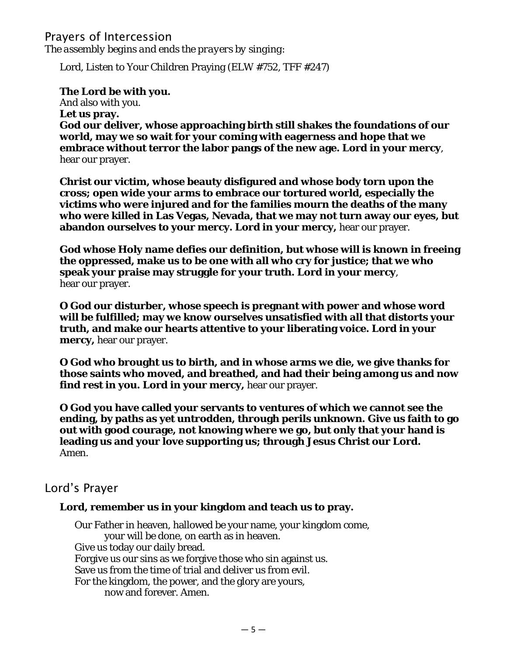### Prayers of Intercession *The assembly begins and ends the prayers by singing:*

Lord, Listen to Your Children Praying (ELW #752, TFF #247)

#### **The Lord be with you.**

And also with you. **Let us pray. God our deliver, whose approaching birth still shakes the foundations of our world, may we so wait for your coming with eagerness and hope that we embrace without terror the labor pangs of the new age. Lord in your mercy**, hear our prayer.

**Christ our victim, whose beauty disfigured and whose body torn upon the cross; open wide your arms to embrace our tortured world, especially the victims who were injured and for the families mourn the deaths of the many who were killed in Las Vegas, Nevada, that we may not turn away our eyes, but abandon ourselves to your mercy. Lord in your mercy,** hear our prayer.

**God whose Holy name defies our definition, but whose will is known in freeing the oppressed, make us to be one with all who cry for justice; that we who speak your praise may struggle for your truth. Lord in your mercy**, hear our prayer.

**O God our disturber, whose speech is pregnant with power and whose word will be fulfilled; may we know ourselves unsatisfied with all that distorts your truth, and make our hearts attentive to your liberating voice. Lord in your mercy,** hear our prayer.

**O God who brought us to birth, and in whose arms we die, we give thanks for those saints who moved, and breathed, and had their being among us and now find rest in you. Lord in your mercy,** hear our prayer.

**O God you have called your servants to ventures of which we cannot see the ending, by paths as yet untrodden, through perils unknown. Give us faith to go out with good courage, not knowing where we go, but only that your hand is leading us and your love supporting us; through Jesus Christ our Lord.**  Amen.

### Lord's Prayer

#### **Lord, remember us in your kingdom and teach us to pray.**

Our Father in heaven, hallowed be your name, your kingdom come, your will be done, on earth as in heaven. Give us today our daily bread. Forgive us our sins as we forgive those who sin against us. Save us from the time of trial and deliver us from evil. For the kingdom, the power, and the glory are yours, now and forever. Amen.